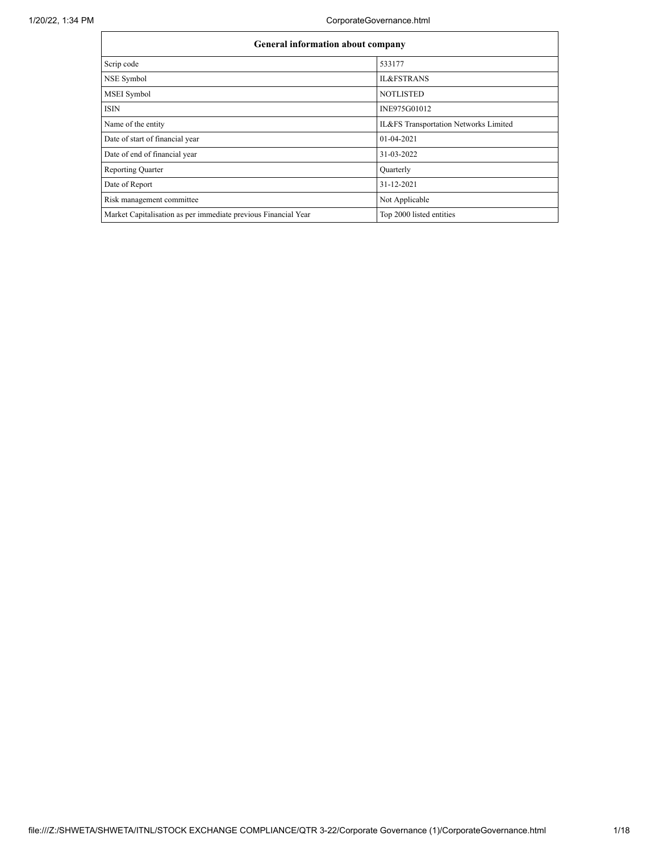1/20/22, 1:34 PM CorporateGovernance.html

|                                                                | <b>General information about company</b> |  |  |  |  |  |  |  |  |
|----------------------------------------------------------------|------------------------------------------|--|--|--|--|--|--|--|--|
| Scrip code                                                     | 533177                                   |  |  |  |  |  |  |  |  |
| NSE Symbol                                                     | <b>IL&amp;FSTRANS</b>                    |  |  |  |  |  |  |  |  |
| <b>MSEI</b> Symbol                                             | <b>NOTLISTED</b>                         |  |  |  |  |  |  |  |  |
| <b>ISIN</b>                                                    | INE975G01012                             |  |  |  |  |  |  |  |  |
| Name of the entity                                             | IL&FS Transportation Networks Limited    |  |  |  |  |  |  |  |  |
| Date of start of financial year                                | 01-04-2021                               |  |  |  |  |  |  |  |  |
| Date of end of financial year                                  | 31-03-2022                               |  |  |  |  |  |  |  |  |
| <b>Reporting Quarter</b>                                       | Quarterly                                |  |  |  |  |  |  |  |  |
| Date of Report                                                 | 31-12-2021                               |  |  |  |  |  |  |  |  |
| Risk management committee                                      | Not Applicable                           |  |  |  |  |  |  |  |  |
| Market Capitalisation as per immediate previous Financial Year | Top 2000 listed entities                 |  |  |  |  |  |  |  |  |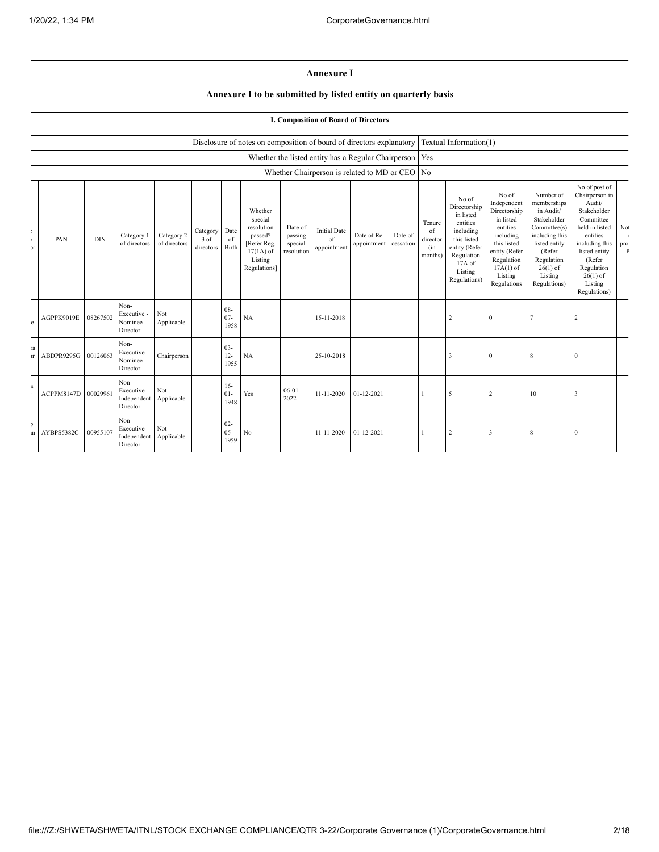## **Annexure I**

## **Annexure I to be submitted by listed entity on quarterly basis**

## **I. Composition of Board of Directors**

|                      |            |            |                                                |                            |                               |                          | Disclosure of notes on composition of board of directors explanatory                                 |                                             |                                          |                                                     |                      |                                            | Textual Information(1)                                                                                                                           |                                                                                                                                                                   |                                                                                                                                                                          |                                                                                                                                                                                                         |                                 |
|----------------------|------------|------------|------------------------------------------------|----------------------------|-------------------------------|--------------------------|------------------------------------------------------------------------------------------------------|---------------------------------------------|------------------------------------------|-----------------------------------------------------|----------------------|--------------------------------------------|--------------------------------------------------------------------------------------------------------------------------------------------------|-------------------------------------------------------------------------------------------------------------------------------------------------------------------|--------------------------------------------------------------------------------------------------------------------------------------------------------------------------|---------------------------------------------------------------------------------------------------------------------------------------------------------------------------------------------------------|---------------------------------|
|                      |            |            |                                                |                            |                               |                          |                                                                                                      |                                             |                                          | Whether the listed entity has a Regular Chairperson |                      | Yes                                        |                                                                                                                                                  |                                                                                                                                                                   |                                                                                                                                                                          |                                                                                                                                                                                                         |                                 |
|                      |            |            |                                                |                            |                               |                          |                                                                                                      |                                             |                                          | Whether Chairperson is related to MD or CEO         |                      | No                                         |                                                                                                                                                  |                                                                                                                                                                   |                                                                                                                                                                          |                                                                                                                                                                                                         |                                 |
| t.<br>÷.<br><b>x</b> | PAN        | <b>DIN</b> | Category 1<br>of directors                     | Category 2<br>of directors | Category<br>3 of<br>directors | Date<br>of<br>Birth      | Whether<br>special<br>resolution<br>passed?<br>[Refer Reg.<br>$17(1A)$ of<br>Listing<br>Regulations] | Date of<br>passing<br>special<br>resolution | <b>Initial Date</b><br>of<br>appointment | Date of Re-<br>appointment                          | Date of<br>cessation | Tenure<br>of<br>director<br>(in<br>months) | No of<br>Directorship<br>in listed<br>entities<br>including<br>this listed<br>entity (Refer<br>Regulation<br>$17A$ of<br>Listing<br>Regulations) | No of<br>Independent<br>Directorship<br>in listed<br>entities<br>including<br>this listed<br>entity (Refer<br>Regulation<br>$17A(1)$ of<br>Listing<br>Regulations | Number of<br>memberships<br>in Audit/<br>Stakeholder<br>Committee(s)<br>including this<br>listed entity<br>(Refer<br>Regulation<br>$26(1)$ of<br>Listing<br>Regulations) | No of post of<br>Chairperson in<br>Audit/<br>Stakeholder<br>Committee<br>held in listed<br>entities<br>including this<br>listed entity<br>(Refer<br>Regulation<br>$26(1)$ of<br>Listing<br>Regulations) | $\rm No$<br>pro<br>$\mathbf{F}$ |
| e                    | AGPPK9019E | 08267502   | Non-<br>Executive -<br>Nominee<br>Director     | Not<br>Applicable          |                               | $08 -$<br>$07 -$<br>1958 | NA                                                                                                   |                                             | 15-11-2018                               |                                                     |                      |                                            | 2                                                                                                                                                | $\mathbf{0}$                                                                                                                                                      | 7                                                                                                                                                                        | $\overline{2}$                                                                                                                                                                                          |                                 |
| ra<br>u.             | ABDPR9295G | 00126063   | Non-<br>Executive -<br>Nominee<br>Director     | Chairperson                |                               | $03 -$<br>$12 -$<br>1955 | NA                                                                                                   |                                             | 25-10-2018                               |                                                     |                      |                                            | 3                                                                                                                                                | $\Omega$                                                                                                                                                          | 8                                                                                                                                                                        | $\overline{0}$                                                                                                                                                                                          |                                 |
| $\mathbf{a}$         | ACPPM8147D | 00029961   | Non-<br>Executive -<br>Independent<br>Director | Not<br>Applicable          |                               | $16-$<br>$01-$<br>1948   | Yes                                                                                                  | $06 - 01 -$<br>2022                         | 11-11-2020                               | 01-12-2021                                          |                      |                                            | 5                                                                                                                                                | $\overline{2}$                                                                                                                                                    | 10                                                                                                                                                                       | 3                                                                                                                                                                                                       |                                 |
| $\mathcal{L}$<br>ın  | AYBPS5382C | 00955107   | Non-<br>Executive -<br>Independent<br>Director | Not<br>Applicable          |                               | $02 -$<br>$05 -$<br>1959 | No                                                                                                   |                                             | 11-11-2020                               | $01 - 12 - 2021$                                    |                      |                                            | $\overline{c}$                                                                                                                                   | $\mathcal{R}$                                                                                                                                                     | 8                                                                                                                                                                        | $\overline{0}$                                                                                                                                                                                          |                                 |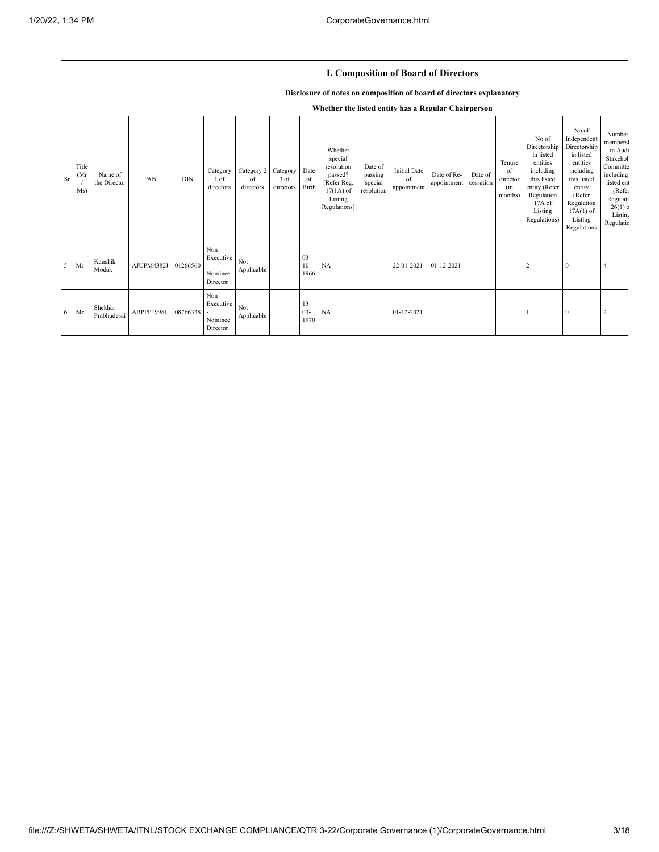## **I. Composition of Board of Directors**

|           |                      |                         |            |            |                                          |                               |                               |                         | Disclosure of notes on composition of board of directors explanatory                                 |                                             |                                          |                            |                      |                                            |                                                                                                                                                |                                                                                                                                                                      |                                                                                                                                         |
|-----------|----------------------|-------------------------|------------|------------|------------------------------------------|-------------------------------|-------------------------------|-------------------------|------------------------------------------------------------------------------------------------------|---------------------------------------------|------------------------------------------|----------------------------|----------------------|--------------------------------------------|------------------------------------------------------------------------------------------------------------------------------------------------|----------------------------------------------------------------------------------------------------------------------------------------------------------------------|-----------------------------------------------------------------------------------------------------------------------------------------|
|           |                      |                         |            |            |                                          |                               |                               |                         | Whether the listed entity has a Regular Chairperson                                                  |                                             |                                          |                            |                      |                                            |                                                                                                                                                |                                                                                                                                                                      |                                                                                                                                         |
| <b>Sr</b> | Title<br>(Mr)<br>Ms) | Name of<br>the Director | PAN        | <b>DIN</b> | Category<br>1 of<br>directors            | Category 2<br>of<br>directors | Category<br>3 of<br>directors | Date<br>of<br>Birth     | Whether<br>special<br>resolution<br>passed?<br>[Refer Reg.<br>$17(1A)$ of<br>Listing<br>Regulations] | Date of<br>passing<br>special<br>resolution | <b>Initial Date</b><br>of<br>appointment | Date of Re-<br>appointment | Date of<br>cessation | Tenure<br>of<br>director<br>(in<br>months) | No of<br>Directorship<br>in listed<br>entities<br>including<br>this listed<br>entity (Refer<br>Regulation<br>17A of<br>Listing<br>Regulations) | No of<br>Independent<br>Directorship<br>in listed<br>entities<br>including<br>this listed<br>entity<br>(Refer<br>Regulation<br>$17A(1)$ of<br>Listing<br>Regulations | Number<br>members<br>in Audi<br>Stakehol<br>Committe<br>including<br>listed en<br>(Refer<br>Regulati<br>26(1) c<br>Listing<br>Regulatic |
| 5         | Mr                   | Kaushik<br>Modak        | AJUPM4382J | 01266560   | Non-<br>Executive<br>Nominee<br>Director | Not<br>Applicable             |                               | $03 -$<br>$10-$<br>1966 | NA                                                                                                   |                                             | 22-01-2021                               | 01-12-2021                 |                      |                                            | 2                                                                                                                                              | $\theta$                                                                                                                                                             |                                                                                                                                         |
| 6         | Mr                   | Shekhar<br>Prabhudesai  | ABPPP1998J | 08766338   | Non-<br>Executive<br>Nominee<br>Director | Not<br>Applicable             |                               | $13-$<br>$03 -$<br>1970 | NA                                                                                                   |                                             | 01-12-2021                               |                            |                      |                                            |                                                                                                                                                | $\mathbf{0}$                                                                                                                                                         |                                                                                                                                         |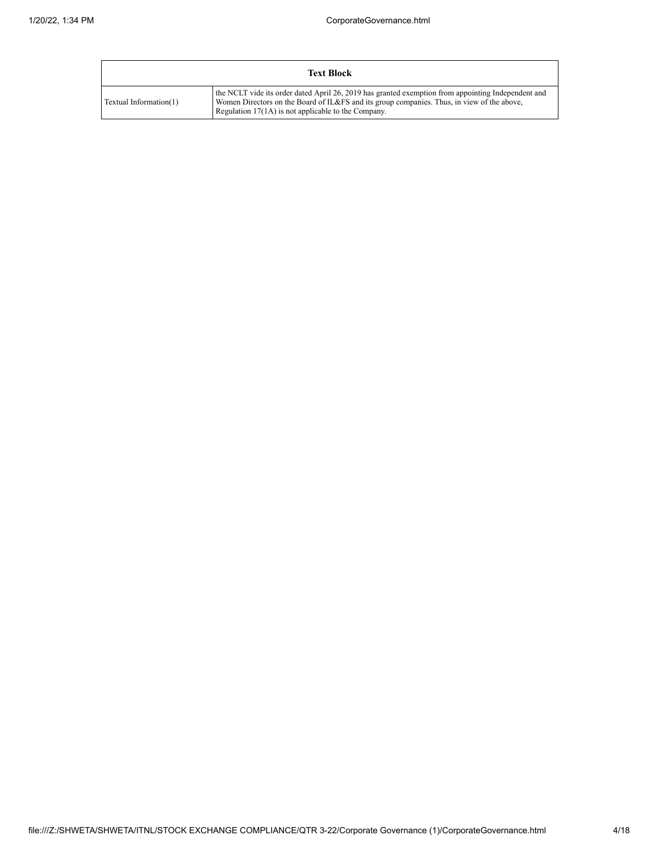|                        | <b>Text Block</b>                                                                                                                                                                                                                                         |
|------------------------|-----------------------------------------------------------------------------------------------------------------------------------------------------------------------------------------------------------------------------------------------------------|
| Textual Information(1) | the NCLT vide its order dated April 26, 2019 has granted exemption from appointing Independent and<br>Women Directors on the Board of IL&FS and its group companies. Thus, in view of the above,<br>Regulation $17(1A)$ is not applicable to the Company. |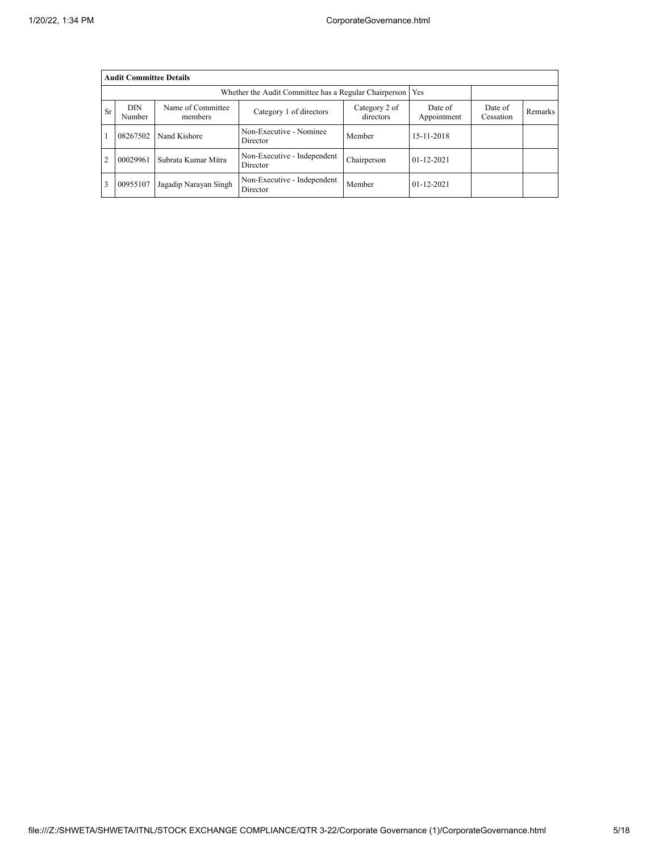|                | <b>Audit Committee Details</b>                              |                              |                                         |                            |                        |                      |         |  |  |  |  |  |
|----------------|-------------------------------------------------------------|------------------------------|-----------------------------------------|----------------------------|------------------------|----------------------|---------|--|--|--|--|--|
|                | Whether the Audit Committee has a Regular Chairperson   Yes |                              |                                         |                            |                        |                      |         |  |  |  |  |  |
| <b>Sr</b>      | <b>DIN</b><br>Number                                        | Name of Committee<br>members | Category 1 of directors                 | Category 2 of<br>directors | Date of<br>Appointment | Date of<br>Cessation | Remarks |  |  |  |  |  |
|                | 08267502                                                    | Nand Kishore                 | Non-Executive - Nominee<br>Director     | Member                     | 15-11-2018             |                      |         |  |  |  |  |  |
| $\overline{2}$ | 00029961                                                    | Subrata Kumar Mitra          | Non-Executive - Independent<br>Director | Chairperson                | $01-12-2021$           |                      |         |  |  |  |  |  |
| 3              | 00955107                                                    | Jagadip Narayan Singh        | Non-Executive - Independent<br>Director | Member                     | $01 - 12 - 2021$       |                      |         |  |  |  |  |  |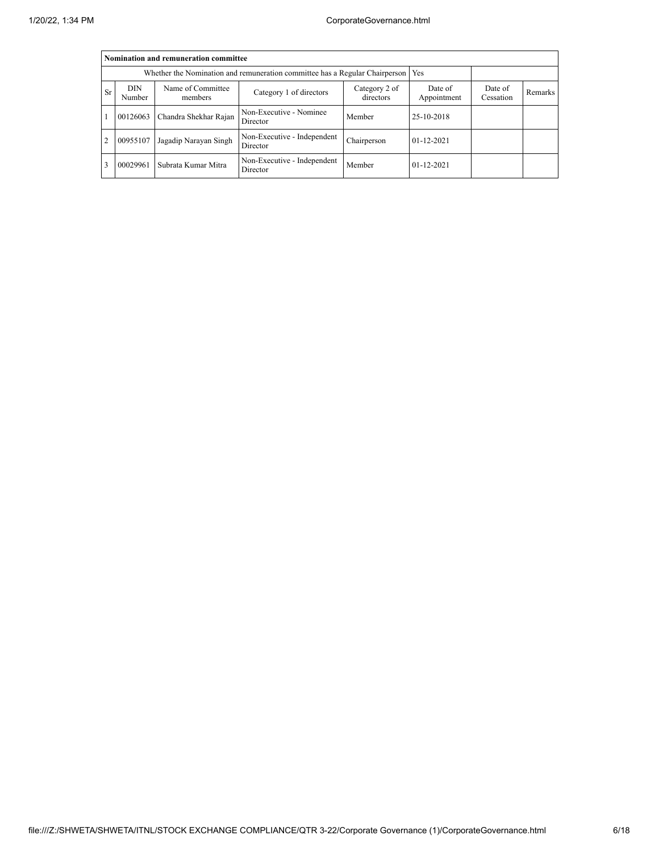|                | Nomination and remuneration committee                                             |                       |                                         |             |                  |  |  |  |  |  |  |  |
|----------------|-----------------------------------------------------------------------------------|-----------------------|-----------------------------------------|-------------|------------------|--|--|--|--|--|--|--|
|                | Whether the Nomination and remuneration committee has a Regular Chairperson   Yes |                       |                                         |             |                  |  |  |  |  |  |  |  |
| Sr             | <b>DIN</b><br>Number                                                              | Date of<br>Cessation  | Remarks                                 |             |                  |  |  |  |  |  |  |  |
|                | 00126063                                                                          | Chandra Shekhar Rajan | Non-Executive - Nominee<br>Director     | Member      | 25-10-2018       |  |  |  |  |  |  |  |
| $\overline{2}$ | 00955107                                                                          | Jagadip Narayan Singh | Non-Executive - Independent<br>Director | Chairperson | $01-12-2021$     |  |  |  |  |  |  |  |
| 3              | 00029961                                                                          | Subrata Kumar Mitra   | Non-Executive - Independent<br>Director | Member      | $01 - 12 - 2021$ |  |  |  |  |  |  |  |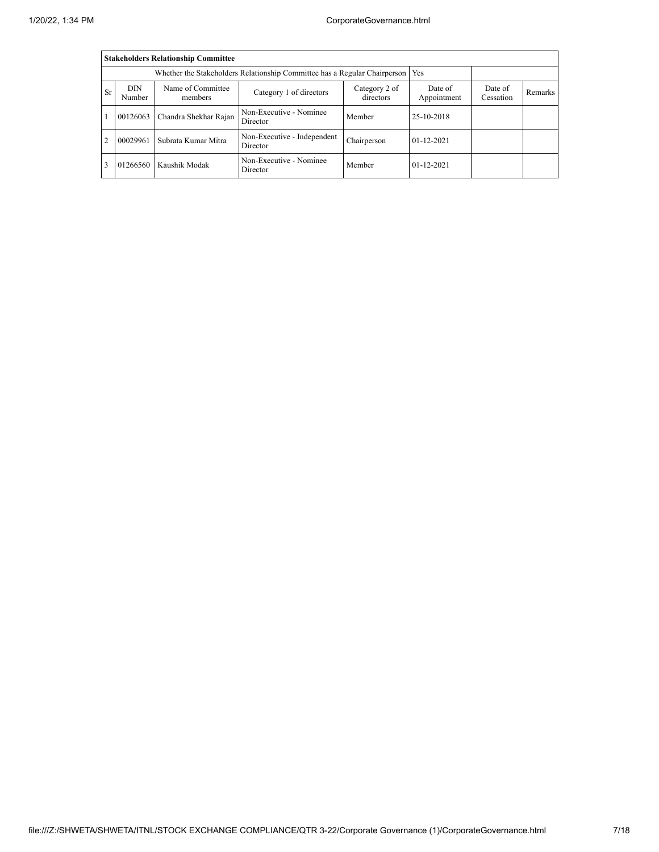|                |                                                                                                                                                                 | <b>Stakeholders Relationship Committee</b> |                                         |             |              |  |  |  |  |
|----------------|-----------------------------------------------------------------------------------------------------------------------------------------------------------------|--------------------------------------------|-----------------------------------------|-------------|--------------|--|--|--|--|
|                | Whether the Stakeholders Relationship Committee has a Regular Chairperson   Yes                                                                                 |                                            |                                         |             |              |  |  |  |  |
| <b>Sr</b>      | Name of Committee<br><b>DIN</b><br>Date of<br>Date of<br>Category 2 of<br>Category 1 of directors<br>directors<br>Number<br>Appointment<br>Cessation<br>members |                                            |                                         |             |              |  |  |  |  |
|                | 00126063                                                                                                                                                        | Chandra Shekhar Rajan                      | Non-Executive - Nominee<br>Director     | Member      | 25-10-2018   |  |  |  |  |
| $\overline{2}$ | 00029961                                                                                                                                                        | Subrata Kumar Mitra                        | Non-Executive - Independent<br>Director | Chairperson | $01-12-2021$ |  |  |  |  |
|                | 01266560                                                                                                                                                        | Kaushik Modak                              | Non-Executive - Nominee<br>Director     | Member      | $01-12-2021$ |  |  |  |  |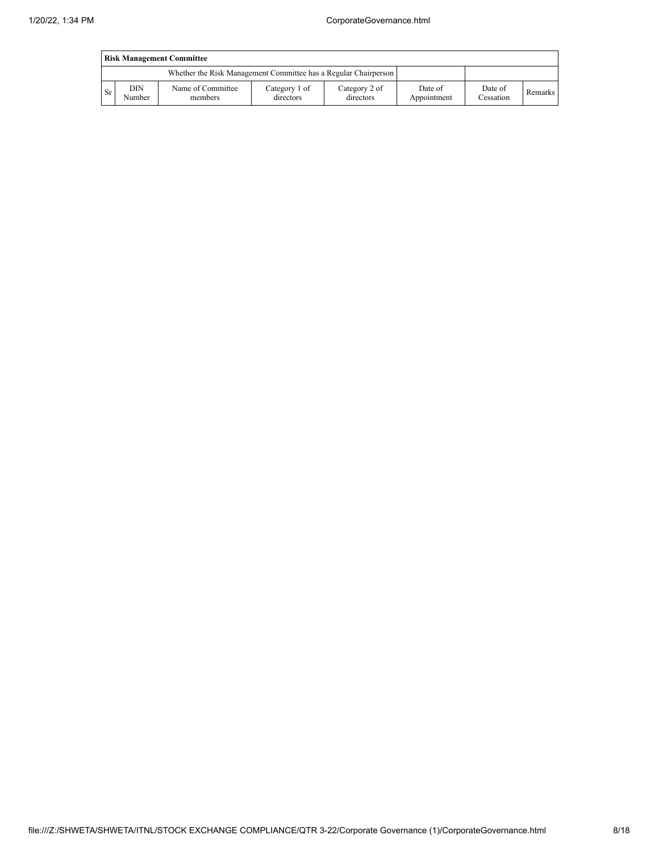|      | <b>Risk Management Committee</b> |                                                                 |                            |                            |                        |                      |         |  |  |  |  |  |  |
|------|----------------------------------|-----------------------------------------------------------------|----------------------------|----------------------------|------------------------|----------------------|---------|--|--|--|--|--|--|
|      |                                  | Whether the Risk Management Committee has a Regular Chairperson |                            |                            |                        |                      |         |  |  |  |  |  |  |
| - Sr | DIN<br>Number                    | Name of Committee<br>members                                    | Category 1 of<br>directors | Category 2 of<br>directors | Date of<br>Appointment | Date of<br>Cessation | Remarks |  |  |  |  |  |  |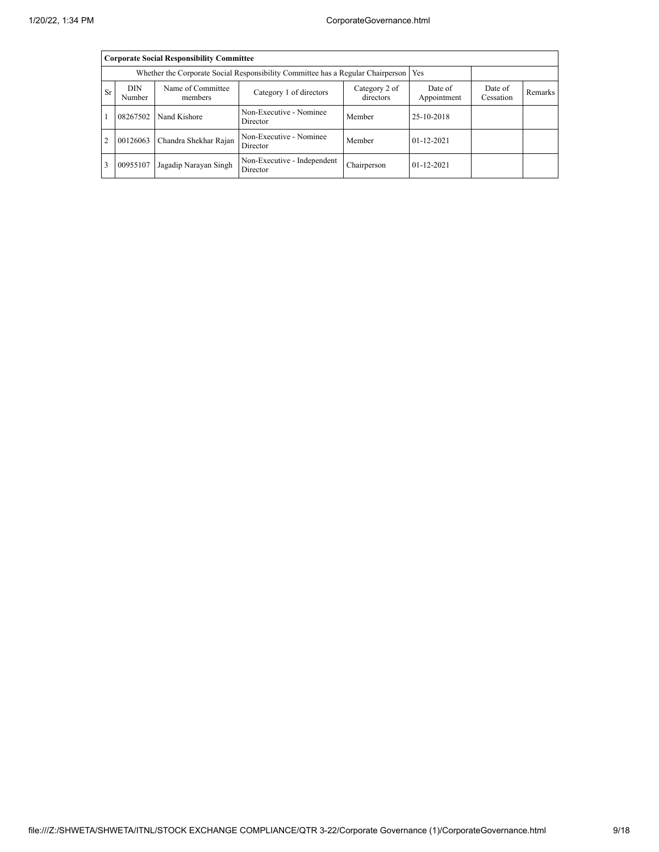|                | <b>Corporate Social Responsibility Committee</b>                                      |                        |                                         |             |                  |  |  |  |  |  |  |  |
|----------------|---------------------------------------------------------------------------------------|------------------------|-----------------------------------------|-------------|------------------|--|--|--|--|--|--|--|
|                | Whether the Corporate Social Responsibility Committee has a Regular Chairperson   Yes |                        |                                         |             |                  |  |  |  |  |  |  |  |
| Sr             | <b>DIN</b><br>Number                                                                  | Date of<br>Appointment | Date of<br>Cessation                    | Remarks     |                  |  |  |  |  |  |  |  |
|                | 08267502                                                                              | Nand Kishore           | Non-Executive - Nominee<br>Director     | Member      | 25-10-2018       |  |  |  |  |  |  |  |
| $\overline{2}$ | 00126063                                                                              | Chandra Shekhar Rajan  | Non-Executive - Nominee<br>Director     | Member      | $01 - 12 - 2021$ |  |  |  |  |  |  |  |
| 3              | 00955107                                                                              | Jagadip Narayan Singh  | Non-Executive - Independent<br>Director | Chairperson | $01 - 12 - 2021$ |  |  |  |  |  |  |  |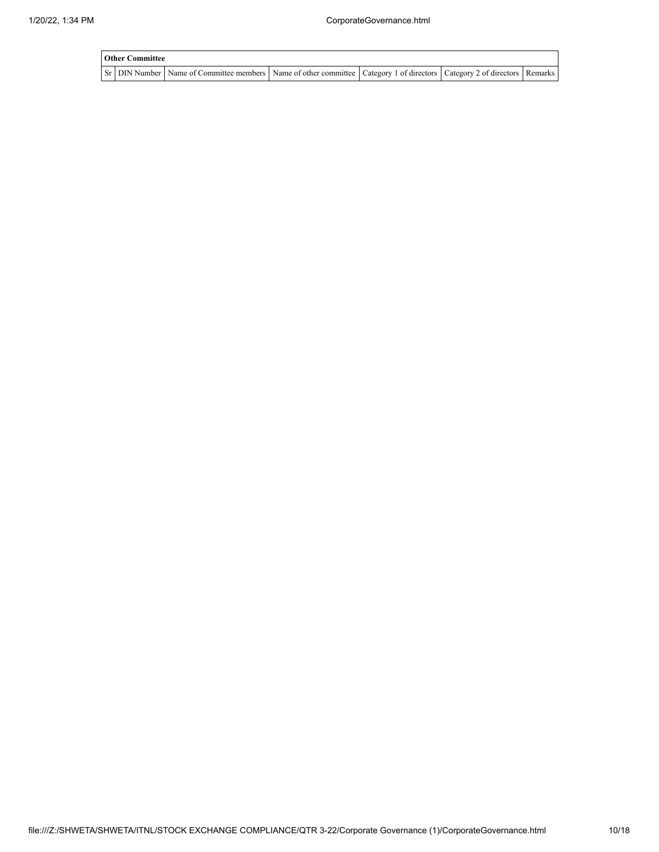| <b>Other Committee</b> |                                                                                                                         |  |  |
|------------------------|-------------------------------------------------------------------------------------------------------------------------|--|--|
|                        | Sr DIN Number Name of Committee members Name of other committee Category 1 of directors Category 2 of directors Remarks |  |  |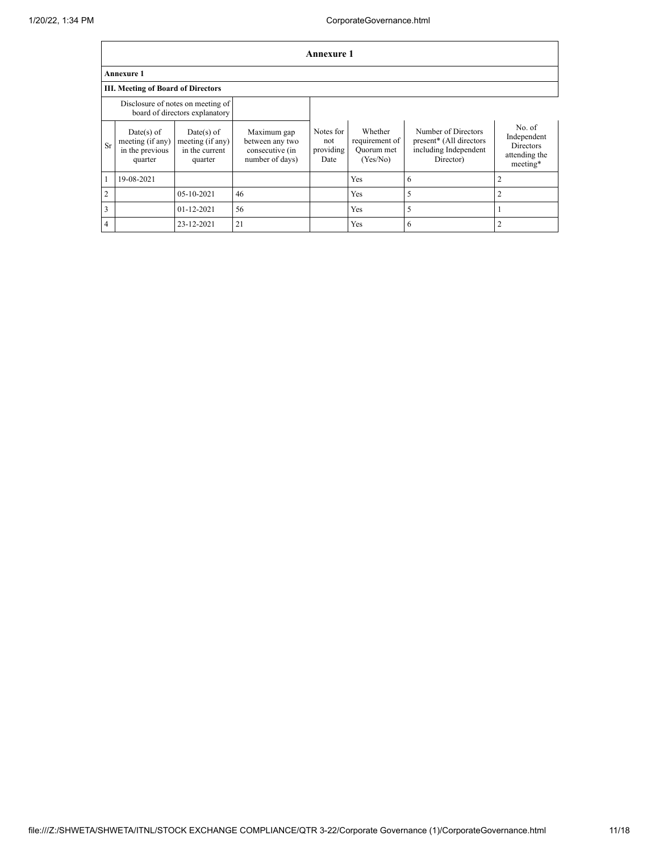|                | <b>Annexure 1</b>                                                   |                                                               |                                                                      |                                       |                                                     |                                                                                      |                                                                        |  |  |  |  |
|----------------|---------------------------------------------------------------------|---------------------------------------------------------------|----------------------------------------------------------------------|---------------------------------------|-----------------------------------------------------|--------------------------------------------------------------------------------------|------------------------------------------------------------------------|--|--|--|--|
|                | <b>Annexure 1</b>                                                   |                                                               |                                                                      |                                       |                                                     |                                                                                      |                                                                        |  |  |  |  |
|                | <b>III. Meeting of Board of Directors</b>                           |                                                               |                                                                      |                                       |                                                     |                                                                                      |                                                                        |  |  |  |  |
|                | Disclosure of notes on meeting of<br>board of directors explanatory |                                                               |                                                                      |                                       |                                                     |                                                                                      |                                                                        |  |  |  |  |
| Sr             | $Date(s)$ of<br>meeting (if any)<br>in the previous<br>quarter      | $Date(s)$ of<br>meeting (if any)<br>in the current<br>quarter | Maximum gap<br>between any two<br>consecutive (in<br>number of days) | Notes for<br>not<br>providing<br>Date | Whether<br>requirement of<br>Quorum met<br>(Yes/No) | Number of Directors<br>present* (All directors<br>including Independent<br>Director) | No. of<br>Independent<br><b>Directors</b><br>attending the<br>meeting* |  |  |  |  |
|                | 19-08-2021                                                          |                                                               |                                                                      |                                       | Yes                                                 | 6                                                                                    | $\overline{c}$                                                         |  |  |  |  |
| 2              |                                                                     | 05-10-2021                                                    | 46                                                                   |                                       | Yes                                                 | 5                                                                                    | 2                                                                      |  |  |  |  |
| 3              |                                                                     | $01 - 12 - 2021$                                              | 56                                                                   |                                       | Yes                                                 | 5                                                                                    |                                                                        |  |  |  |  |
| $\overline{4}$ |                                                                     | 23-12-2021                                                    | 21                                                                   |                                       | Yes                                                 | 6                                                                                    |                                                                        |  |  |  |  |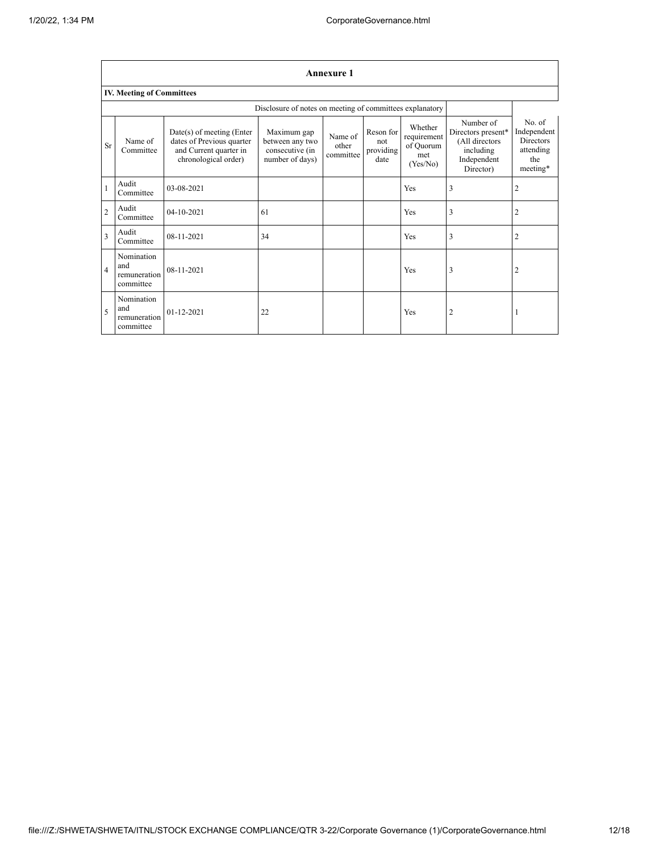| <b>Annexure 1</b>                |                                                |                                                                                                            |                                                                      |                               |                                       |                                                        |                                                                                            |                                                                           |  |  |  |  |
|----------------------------------|------------------------------------------------|------------------------------------------------------------------------------------------------------------|----------------------------------------------------------------------|-------------------------------|---------------------------------------|--------------------------------------------------------|--------------------------------------------------------------------------------------------|---------------------------------------------------------------------------|--|--|--|--|
| <b>IV. Meeting of Committees</b> |                                                |                                                                                                            |                                                                      |                               |                                       |                                                        |                                                                                            |                                                                           |  |  |  |  |
|                                  |                                                |                                                                                                            | Disclosure of notes on meeting of committees explanatory             |                               |                                       |                                                        |                                                                                            |                                                                           |  |  |  |  |
| Sr                               | Name of<br>Committee                           | $Date(s)$ of meeting (Enter<br>dates of Previous quarter<br>and Current quarter in<br>chronological order) | Maximum gap<br>between any two<br>consecutive (in<br>number of days) | Name of<br>other<br>committee | Reson for<br>not<br>providing<br>date | Whether<br>requirement<br>of Quorum<br>met<br>(Yes/No) | Number of<br>Directors present*<br>(All directors<br>including<br>Independent<br>Director) | No. of<br>Independent<br><b>Directors</b><br>attending<br>the<br>meeting* |  |  |  |  |
| $\mathbf{1}$                     | Audit<br>Committee                             | 03-08-2021                                                                                                 |                                                                      |                               |                                       | Yes                                                    | 3                                                                                          | 2                                                                         |  |  |  |  |
| $\overline{c}$                   | Audit<br>Committee                             | 04-10-2021                                                                                                 | 61                                                                   |                               |                                       | Yes                                                    | 3                                                                                          | $\overline{c}$                                                            |  |  |  |  |
| 3                                | Audit<br>Committee                             | 08-11-2021                                                                                                 | 34                                                                   |                               |                                       | Yes                                                    | 3                                                                                          | 2                                                                         |  |  |  |  |
| $\overline{4}$                   | Nomination<br>and<br>remuneration<br>committee | 08-11-2021                                                                                                 |                                                                      |                               |                                       | Yes                                                    | 3                                                                                          | 2                                                                         |  |  |  |  |
| 5                                | Nomination<br>and<br>remuneration<br>committee | $01 - 12 - 2021$                                                                                           | 22                                                                   |                               |                                       | Yes                                                    | $\overline{2}$                                                                             |                                                                           |  |  |  |  |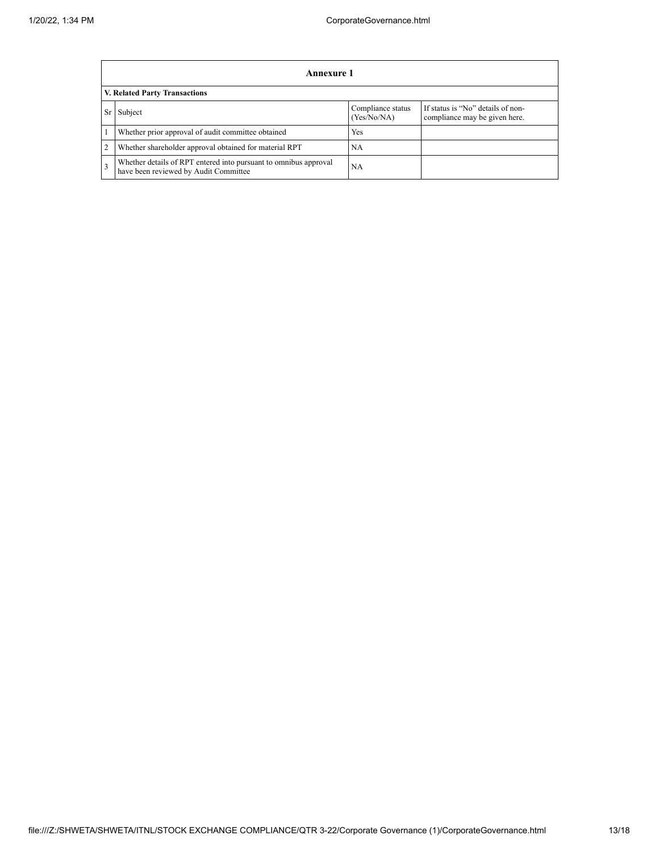|                | <b>Annexure 1</b>                                                                                         |                                  |                                                                    |  |  |  |
|----------------|-----------------------------------------------------------------------------------------------------------|----------------------------------|--------------------------------------------------------------------|--|--|--|
|                | V. Related Party Transactions                                                                             |                                  |                                                                    |  |  |  |
| Sr             | Subject                                                                                                   | Compliance status<br>(Yes/No/NA) | If status is "No" details of non-<br>compliance may be given here. |  |  |  |
|                | Whether prior approval of audit committee obtained                                                        | Yes                              |                                                                    |  |  |  |
| $\overline{2}$ | Whether shareholder approval obtained for material RPT                                                    | <b>NA</b>                        |                                                                    |  |  |  |
| 3              | Whether details of RPT entered into pursuant to omnibus approval<br>have been reviewed by Audit Committee | <b>NA</b>                        |                                                                    |  |  |  |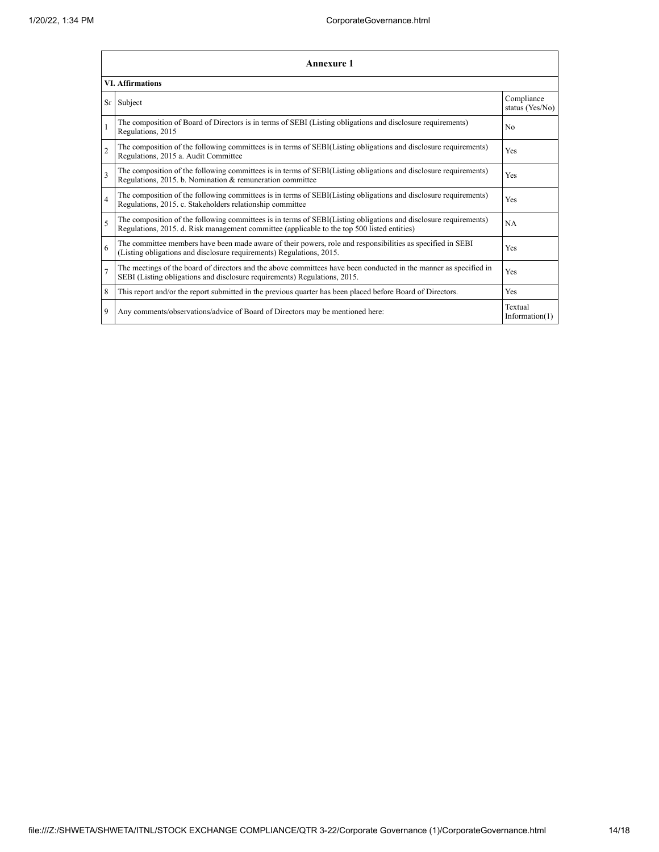|                         | <b>Annexure 1</b>                                                                                                                                                                                               |                               |  |  |  |
|-------------------------|-----------------------------------------------------------------------------------------------------------------------------------------------------------------------------------------------------------------|-------------------------------|--|--|--|
| <b>VI.</b> Affirmations |                                                                                                                                                                                                                 |                               |  |  |  |
| Sr                      | Subject                                                                                                                                                                                                         | Compliance<br>status (Yes/No) |  |  |  |
| $\mathbf{1}$            | The composition of Board of Directors is in terms of SEBI (Listing obligations and disclosure requirements)<br>Regulations, 2015                                                                                | No                            |  |  |  |
| $\overline{2}$          | The composition of the following committees is in terms of SEBI(Listing obligations and disclosure requirements)<br>Regulations, 2015 a. Audit Committee                                                        | Yes                           |  |  |  |
| 3                       | The composition of the following committees is in terms of SEBI(Listing obligations and disclosure requirements)<br>Regulations, 2015. b. Nomination & remuneration committee                                   | Yes                           |  |  |  |
| $\overline{4}$          | The composition of the following committees is in terms of SEBI(Listing obligations and disclosure requirements)<br>Regulations, 2015. c. Stakeholders relationship committee                                   | Yes                           |  |  |  |
| 5                       | The composition of the following committees is in terms of SEBI(Listing obligations and disclosure requirements)<br>Regulations, 2015. d. Risk management committee (applicable to the top 500 listed entities) | NA                            |  |  |  |
| 6                       | The committee members have been made aware of their powers, role and responsibilities as specified in SEBI<br>(Listing obligations and disclosure requirements) Regulations, 2015.                              | Yes                           |  |  |  |
| $\overline{7}$          | The meetings of the board of directors and the above committees have been conducted in the manner as specified in<br>SEBI (Listing obligations and disclosure requirements) Regulations, 2015.                  | Yes                           |  |  |  |
| 8                       | This report and/or the report submitted in the previous quarter has been placed before Board of Directors.                                                                                                      | <b>Yes</b>                    |  |  |  |
| 9                       | Any comments/observations/advice of Board of Directors may be mentioned here:                                                                                                                                   | Textual<br>Information $(1)$  |  |  |  |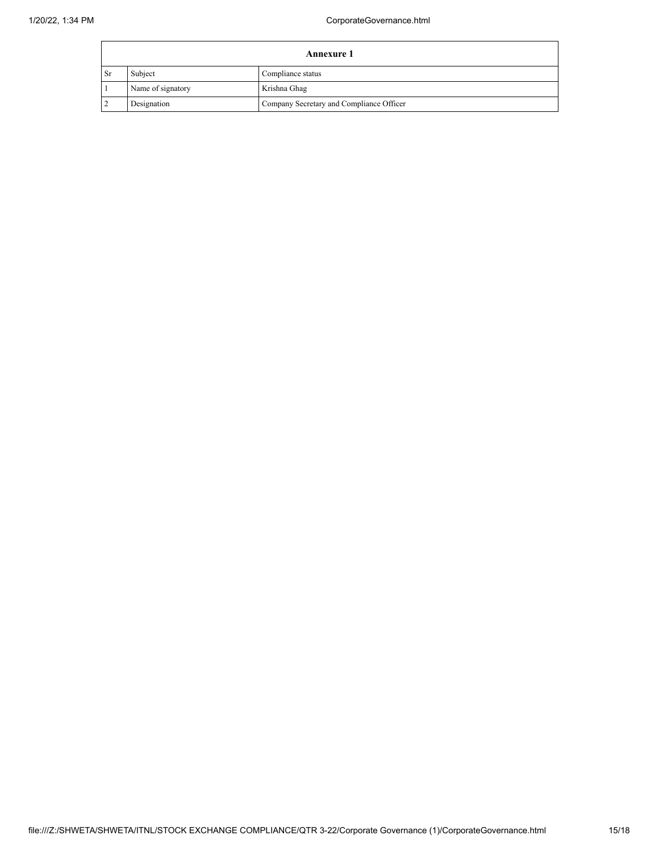| <b>Annexure 1</b> |                   |                                          |
|-------------------|-------------------|------------------------------------------|
| - Sr              | Subject           | Compliance status                        |
|                   | Name of signatory | Krishna Ghag                             |
|                   | Designation       | Company Secretary and Compliance Officer |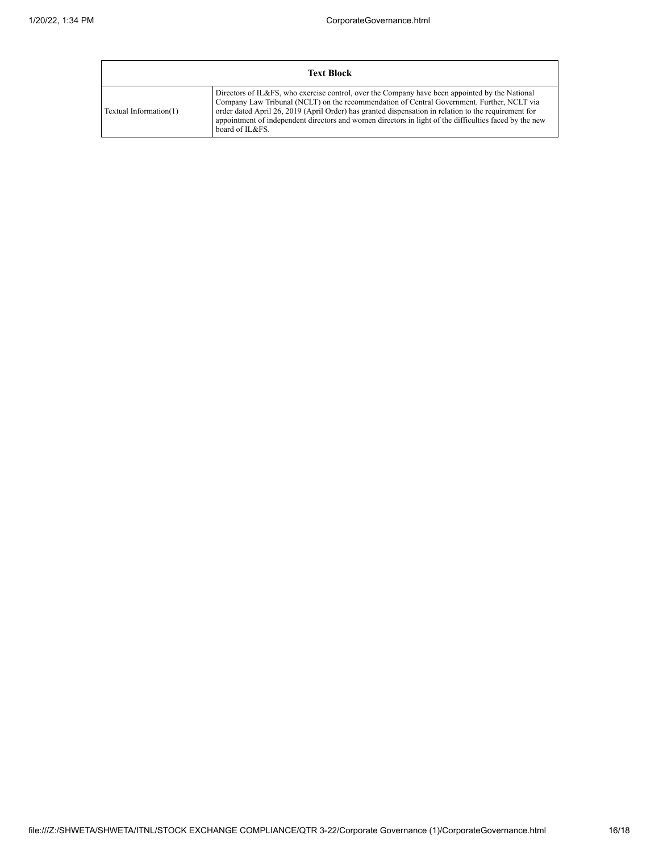| <b>Text Block</b>      |                                                                                                                                                                                                                                                                                                                                                                                                                                   |  |  |  |
|------------------------|-----------------------------------------------------------------------------------------------------------------------------------------------------------------------------------------------------------------------------------------------------------------------------------------------------------------------------------------------------------------------------------------------------------------------------------|--|--|--|
| Textual Information(1) | Directors of IL&FS, who exercise control, over the Company have been appointed by the National<br>Company Law Tribunal (NCLT) on the recommendation of Central Government. Further, NCLT via<br>order dated April 26, 2019 (April Order) has granted dispensation in relation to the requirement for<br>appointment of independent directors and women directors in light of the difficulties faced by the new<br>board of IL&FS. |  |  |  |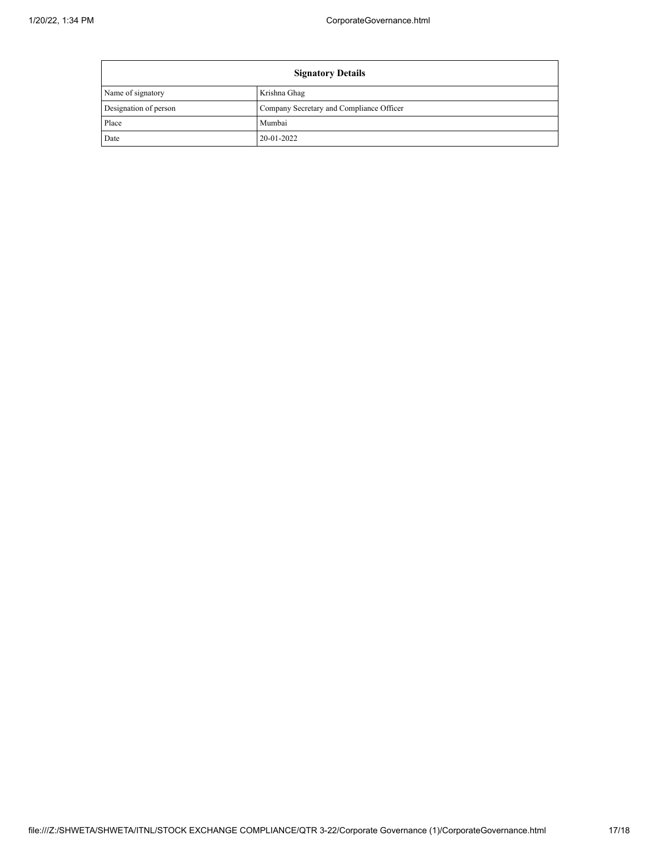F

| <b>Signatory Details</b> |                                          |  |
|--------------------------|------------------------------------------|--|
| Name of signatory        | Krishna Ghag                             |  |
| Designation of person    | Company Secretary and Compliance Officer |  |
| Place                    | Mumbai                                   |  |
| Date                     | 20-01-2022                               |  |